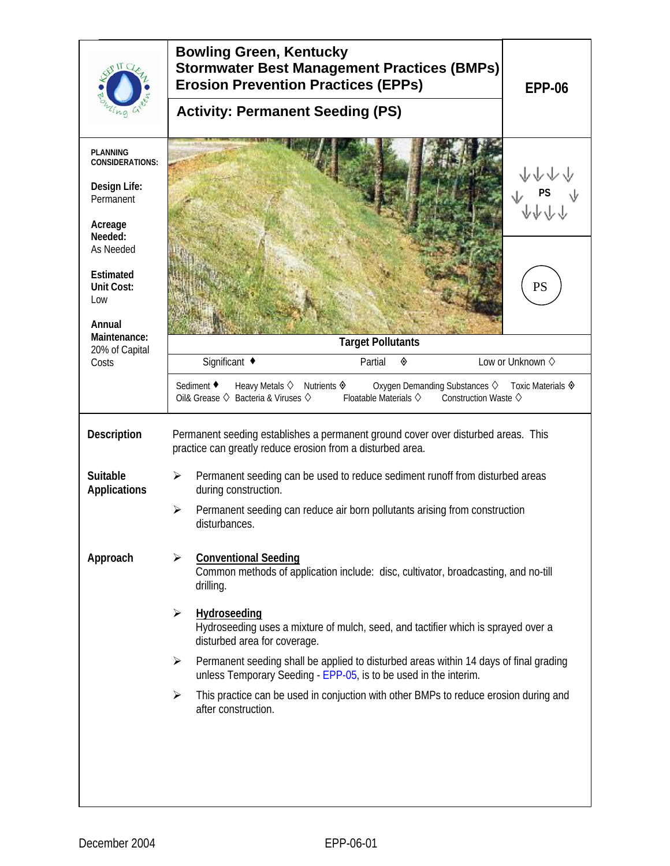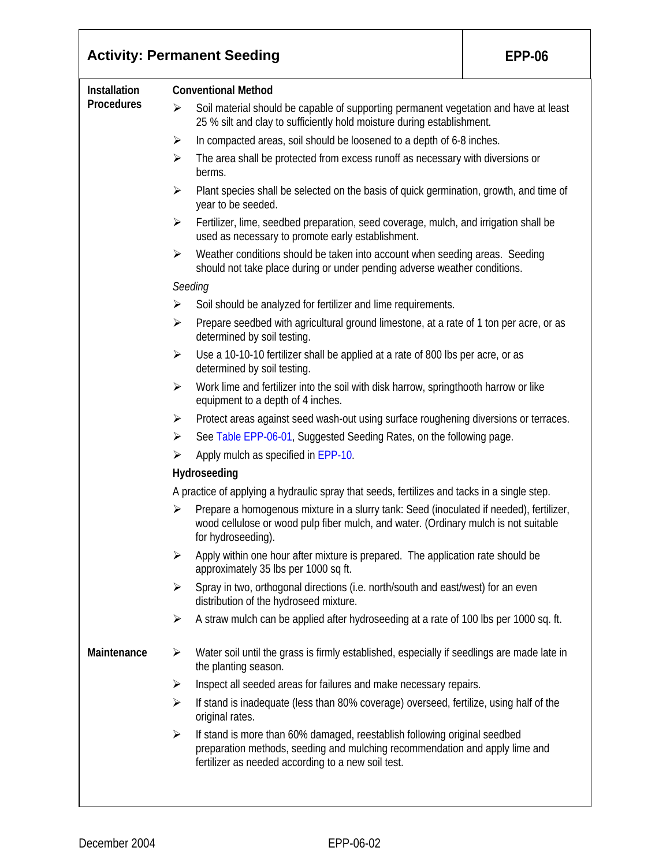|                   | <b>Activity: Permanent Seeding</b><br><b>EPP-06</b>                                                                                                                                                                 |  |  |  |  |
|-------------------|---------------------------------------------------------------------------------------------------------------------------------------------------------------------------------------------------------------------|--|--|--|--|
| Installation      | <b>Conventional Method</b>                                                                                                                                                                                          |  |  |  |  |
| <b>Procedures</b> | Soil material should be capable of supporting permanent vegetation and have at least<br>➤<br>25 % silt and clay to sufficiently hold moisture during establishment.                                                 |  |  |  |  |
|                   | In compacted areas, soil should be loosened to a depth of 6-8 inches.<br>$\blacktriangleright$                                                                                                                      |  |  |  |  |
|                   | The area shall be protected from excess runoff as necessary with diversions or<br>➤<br>berms.                                                                                                                       |  |  |  |  |
|                   | Plant species shall be selected on the basis of quick germination, growth, and time of<br>➤<br>year to be seeded.                                                                                                   |  |  |  |  |
|                   | Fertilizer, lime, seedbed preparation, seed coverage, mulch, and irrigation shall be<br>➤<br>used as necessary to promote early establishment.                                                                      |  |  |  |  |
|                   | Weather conditions should be taken into account when seeding areas. Seeding<br>➤<br>should not take place during or under pending adverse weather conditions.                                                       |  |  |  |  |
|                   | Seeding                                                                                                                                                                                                             |  |  |  |  |
|                   | Soil should be analyzed for fertilizer and lime requirements.<br>➤                                                                                                                                                  |  |  |  |  |
|                   | Prepare seedbed with agricultural ground limestone, at a rate of 1 ton per acre, or as<br>➤<br>determined by soil testing.                                                                                          |  |  |  |  |
|                   | Use a 10-10-10 fertilizer shall be applied at a rate of 800 lbs per acre, or as<br>$\blacktriangleright$<br>determined by soil testing.                                                                             |  |  |  |  |
|                   | Work lime and fertilizer into the soil with disk harrow, springthooth harrow or like<br>➤<br>equipment to a depth of 4 inches.                                                                                      |  |  |  |  |
|                   | Protect areas against seed wash-out using surface roughening diversions or terraces.<br>➤                                                                                                                           |  |  |  |  |
|                   | See Table EPP-06-01, Suggested Seeding Rates, on the following page.<br>➤                                                                                                                                           |  |  |  |  |
|                   | Apply mulch as specified in EPP-10.<br>➤                                                                                                                                                                            |  |  |  |  |
|                   | Hydroseeding                                                                                                                                                                                                        |  |  |  |  |
|                   | A practice of applying a hydraulic spray that seeds, fertilizes and tacks in a single step.                                                                                                                         |  |  |  |  |
|                   | Prepare a homogenous mixture in a slurry tank: Seed (inoculated if needed), fertilizer,<br>➤<br>wood cellulose or wood pulp fiber mulch, and water. (Ordinary mulch is not suitable<br>for hydroseeding).           |  |  |  |  |
|                   | Apply within one hour after mixture is prepared. The application rate should be<br>$\blacktriangleright$<br>approximately 35 lbs per 1000 sq ft.                                                                    |  |  |  |  |
|                   | Spray in two, orthogonal directions (i.e. north/south and east/west) for an even<br>$\blacktriangleright$<br>distribution of the hydroseed mixture.                                                                 |  |  |  |  |
|                   | A straw mulch can be applied after hydroseeding at a rate of 100 lbs per 1000 sq. ft.<br>➤                                                                                                                          |  |  |  |  |
| Maintenance       | Water soil until the grass is firmly established, especially if seedlings are made late in<br>➤<br>the planting season.                                                                                             |  |  |  |  |
|                   | Inspect all seeded areas for failures and make necessary repairs.<br>$\blacktriangleright$                                                                                                                          |  |  |  |  |
|                   | If stand is inadequate (less than 80% coverage) overseed, fertilize, using half of the<br>$\blacktriangleright$<br>original rates.                                                                                  |  |  |  |  |
|                   | If stand is more than 60% damaged, reestablish following original seedbed<br>➤<br>preparation methods, seeding and mulching recommendation and apply lime and<br>fertilizer as needed according to a new soil test. |  |  |  |  |
|                   |                                                                                                                                                                                                                     |  |  |  |  |

٦